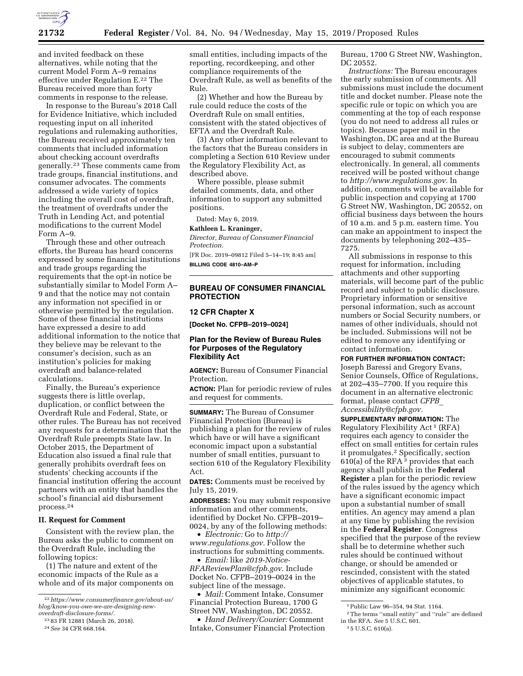

and invited feedback on these alternatives, while noting that the current Model Form A–9 remains effective under Regulation E.22 The Bureau received more than forty comments in response to the release.

In response to the Bureau's 2018 Call for Evidence Initiative, which included requesting input on all inherited regulations and rulemaking authorities, the Bureau received approximately ten comments that included information about checking account overdrafts generally.23 These comments came from trade groups, financial institutions, and consumer advocates. The comments addressed a wide variety of topics including the overall cost of overdraft, the treatment of overdrafts under the Truth in Lending Act, and potential modifications to the current Model Form A–9.

Through these and other outreach efforts, the Bureau has heard concerns expressed by some financial institutions and trade groups regarding the requirements that the opt-in notice be substantially similar to Model Form A– 9 and that the notice may not contain any information not specified in or otherwise permitted by the regulation. Some of these financial institutions have expressed a desire to add additional information to the notice that they believe may be relevant to the consumer's decision, such as an institution's policies for making overdraft and balance-related calculations.

Finally, the Bureau's experience suggests there is little overlap, duplication, or conflict between the Overdraft Rule and Federal, State, or other rules. The Bureau has not received any requests for a determination that the Overdraft Rule preempts State law. In October 2015, the Department of Education also issued a final rule that generally prohibits overdraft fees on students' checking accounts if the financial institution offering the account partners with an entity that handles the school's financial aid disbursement process.24

#### **II. Request for Comment**

Consistent with the review plan, the Bureau asks the public to comment on the Overdraft Rule, including the following topics:

(1) The nature and extent of the economic impacts of the Rule as a whole and of its major components on

23 83 FR 12881 (March 26, 2018).

small entities, including impacts of the reporting, recordkeeping, and other compliance requirements of the Overdraft Rule, as well as benefits of the Rule.

(2) Whether and how the Bureau by rule could reduce the costs of the Overdraft Rule on small entities, consistent with the stated objectives of EFTA and the Overdraft Rule.

(3) Any other information relevant to the factors that the Bureau considers in completing a Section 610 Review under the Regulatory Flexibility Act, as described above.

Where possible, please submit detailed comments, data, and other information to support any submitted positions.

Dated: May 6, 2019.

#### **Kathleen L. Kraninger,**

*Director, Bureau of Consumer Financial Protection.* 

[FR Doc. 2019–09812 Filed 5–14–19; 8:45 am] **BILLING CODE 4810–AM–P** 

# **BUREAU OF CONSUMER FINANCIAL PROTECTION**

#### **12 CFR Chapter X**

**[Docket No. CFPB–2019–0024]** 

# **Plan for the Review of Bureau Rules for Purposes of the Regulatory Flexibility Act**

**AGENCY:** Bureau of Consumer Financial Protection.

**ACTION:** Plan for periodic review of rules and request for comments.

**SUMMARY:** The Bureau of Consumer Financial Protection (Bureau) is publishing a plan for the review of rules which have or will have a significant economic impact upon a substantial number of small entities, pursuant to section 610 of the Regulatory Flexibility Act.

**DATES:** Comments must be received by July 15, 2019.

**ADDRESSES:** You may submit responsive information and other comments, identified by Docket No. CFPB–2019– 0024, by any of the following methods:

• *Electronic:* Go to *[http://](http://www.regulations.gov) [www.regulations.gov.](http://www.regulations.gov)* Follow the instructions for submitting comments.

• *Email:* like *[2019-Notice-](mailto:2019-Notice-RFAReviewPlan@cfpb.gov)[RFAReviewPlan@cfpb.gov.](mailto:2019-Notice-RFAReviewPlan@cfpb.gov)* Include Docket No. CFPB–2019–0024 in the subject line of the message.

• *Mail:* Comment Intake, Consumer Financial Protection Bureau, 1700 G Street NW, Washington, DC 20552.

• *Hand Delivery/Courier:* Comment Intake, Consumer Financial Protection Bureau, 1700 G Street NW, Washington, DC 20552.

*Instructions:* The Bureau encourages the early submission of comments. All submissions must include the document title and docket number. Please note the specific rule or topic on which you are commenting at the top of each response (you do not need to address all rules or topics). Because paper mail in the Washington, DC area and at the Bureau is subject to delay, commenters are encouraged to submit comments electronically. In general, all comments received will be posted without change to *[http://www.regulations.gov.](http://www.regulations.gov)* In addition, comments will be available for public inspection and copying at 1700 G Street NW, Washington, DC 20552, on official business days between the hours of 10 a.m. and 5 p.m. eastern time. You can make an appointment to inspect the documents by telephoning 202–435– 7275.

All submissions in response to this request for information, including attachments and other supporting materials, will become part of the public record and subject to public disclosure. Proprietary information or sensitive personal information, such as account numbers or Social Security numbers, or names of other individuals, should not be included. Submissions will not be edited to remove any identifying or contact information.

### **FOR FURTHER INFORMATION CONTACT:**

Joseph Baressi and Gregory Evans, Senior Counsels, Office of Regulations, at 202–435–7700. If you require this document in an alternative electronic format, please contact *[CFPB](mailto:CFPB_Accessibility@cfpb.gov)*\_ *[Accessibility@cfpb.gov.](mailto:CFPB_Accessibility@cfpb.gov)* 

**SUPPLEMENTARY INFORMATION:** The Regulatory Flexibility Act 1 (RFA) requires each agency to consider the effect on small entities for certain rules it promulgates.2 Specifically, section  $610(a)$  of the RFA <sup>3</sup> provides that each agency shall publish in the **Federal Register** a plan for the periodic review of the rules issued by the agency which have a significant economic impact upon a substantial number of small entities. An agency may amend a plan at any time by publishing the revision in the **Federal Register**. Congress specified that the purpose of the review shall be to determine whether such rules should be continued without change, or should be amended or rescinded, consistent with the stated objectives of applicable statutes, to minimize any significant economic

<sup>22</sup>*[https://www.consumerfinance.gov/about-us/](https://www.consumerfinance.gov/about-us/blog/know-you-owe-we-are-designing-new-overdraft-disclosure-forms/)  [blog/know-you-owe-we-are-designing-new](https://www.consumerfinance.gov/about-us/blog/know-you-owe-we-are-designing-new-overdraft-disclosure-forms/)[overdraft-disclosure-forms/.](https://www.consumerfinance.gov/about-us/blog/know-you-owe-we-are-designing-new-overdraft-disclosure-forms/)* 

<sup>24</sup>*See* 34 CFR 668.164.

<sup>1</sup>Public Law 96–354, 94 Stat. 1164.

<sup>2</sup>The terms ''small entity'' and ''rule'' are defined in the RFA. *See* 5 U.S.C. 601.

<sup>3</sup> 5 U.S.C. 610(a).